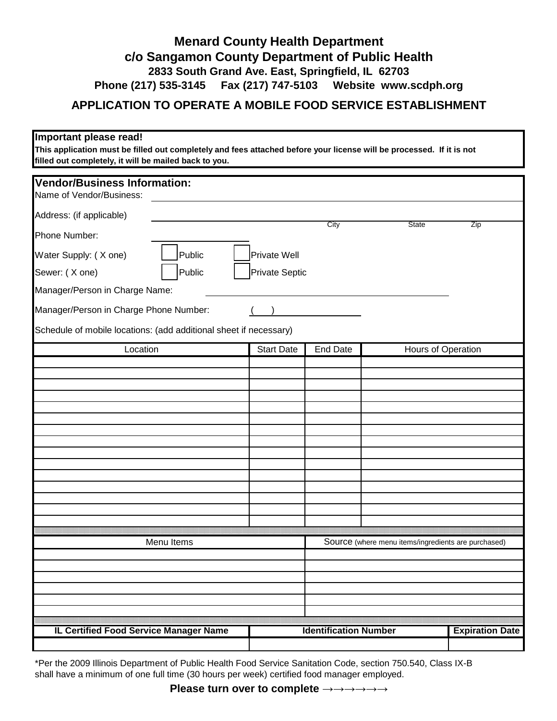## **c/o Sangamon County Department of Public Health 2833 South Grand Ave. East, Springfield, IL 62703 Phone (217) 535-3145 Fax (217) 747-5103 Website www.scdph.org Menard County Health Department**

## **APPLICATION TO OPERATE A MOBILE FOOD SERVICE ESTABLISHMENT**

## **Important please read!**

**This application must be filled out completely and fees attached before your license will be processed. If it is not filled out completely, it will be mailed back to you.**

| <b>Vendor/Business Information:</b>                               |        |                   |                                                     |                    |                        |  |
|-------------------------------------------------------------------|--------|-------------------|-----------------------------------------------------|--------------------|------------------------|--|
| Name of Vendor/Business:                                          |        |                   |                                                     |                    |                        |  |
| Address: (if applicable)                                          |        |                   | City                                                | <b>State</b>       | Zip                    |  |
| Phone Number:                                                     |        |                   |                                                     |                    |                        |  |
| Water Supply: (X one)                                             | Public | Private Well      |                                                     |                    |                        |  |
| Sewer: (X one)                                                    | Public | Private Septic    |                                                     |                    |                        |  |
| Manager/Person in Charge Name:                                    |        |                   |                                                     |                    |                        |  |
| Manager/Person in Charge Phone Number:                            |        |                   |                                                     |                    |                        |  |
| Schedule of mobile locations: (add additional sheet if necessary) |        |                   |                                                     |                    |                        |  |
| Location                                                          |        | <b>Start Date</b> | <b>End Date</b>                                     | Hours of Operation |                        |  |
|                                                                   |        |                   |                                                     |                    |                        |  |
|                                                                   |        |                   |                                                     |                    |                        |  |
|                                                                   |        |                   |                                                     |                    |                        |  |
|                                                                   |        |                   |                                                     |                    |                        |  |
|                                                                   |        |                   |                                                     |                    |                        |  |
|                                                                   |        |                   |                                                     |                    |                        |  |
|                                                                   |        |                   |                                                     |                    |                        |  |
|                                                                   |        |                   |                                                     |                    |                        |  |
|                                                                   |        |                   |                                                     |                    |                        |  |
|                                                                   |        |                   |                                                     |                    |                        |  |
|                                                                   |        |                   |                                                     |                    |                        |  |
| Menu Items                                                        |        |                   | Source (where menu items/ingredients are purchased) |                    |                        |  |
|                                                                   |        |                   |                                                     |                    |                        |  |
|                                                                   |        |                   |                                                     |                    |                        |  |
|                                                                   |        |                   |                                                     |                    |                        |  |
|                                                                   |        |                   |                                                     |                    |                        |  |
|                                                                   |        |                   |                                                     |                    |                        |  |
| IL Certified Food Service Manager Name                            |        |                   | <b>Identification Number</b>                        |                    | <b>Expiration Date</b> |  |

\*Per the 2009 Illinois Department of Public Health Food Service Sanitation Code, section 750.540, Class IX-B shall have a minimum of one full time (30 hours per week) certified food manager employed.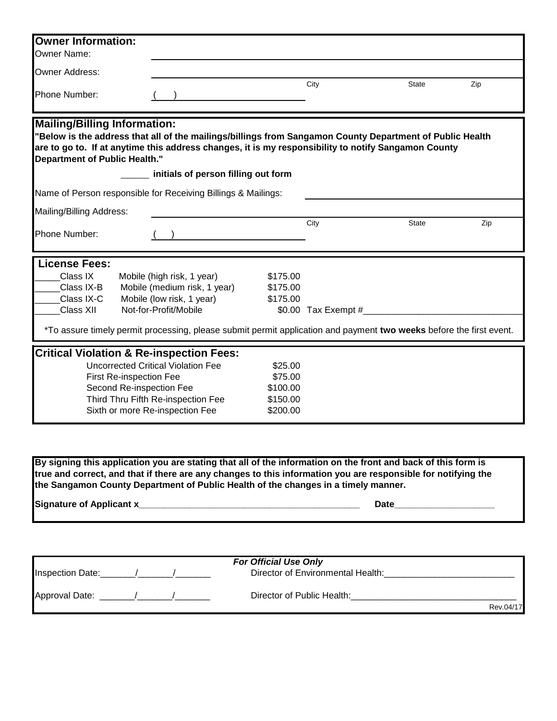| <b>Owner Information:</b>                                                                                                                                                                                                                                                                                                             |                                                     |          |      |                                      |     |  |
|---------------------------------------------------------------------------------------------------------------------------------------------------------------------------------------------------------------------------------------------------------------------------------------------------------------------------------------|-----------------------------------------------------|----------|------|--------------------------------------|-----|--|
| <b>Owner Name:</b>                                                                                                                                                                                                                                                                                                                    |                                                     |          |      |                                      |     |  |
| Owner Address:                                                                                                                                                                                                                                                                                                                        |                                                     |          |      |                                      |     |  |
| Phone Number:                                                                                                                                                                                                                                                                                                                         |                                                     |          | City | <b>State</b>                         | Zip |  |
| <b>Mailing/Billing Information:</b><br>"Below is the address that all of the mailings/billings from Sangamon County Department of Public Health<br>are to go to. If at anytime this address changes, it is my responsibility to notify Sangamon County<br><b>Department of Public Health."</b><br>initials of person filling out form |                                                     |          |      |                                      |     |  |
| Name of Person responsible for Receiving Billings & Mailings:                                                                                                                                                                                                                                                                         |                                                     |          |      |                                      |     |  |
| Mailing/Billing Address:                                                                                                                                                                                                                                                                                                              |                                                     |          |      |                                      |     |  |
|                                                                                                                                                                                                                                                                                                                                       |                                                     |          | City | <b>State</b>                         | Zip |  |
| Phone Number:                                                                                                                                                                                                                                                                                                                         |                                                     |          |      |                                      |     |  |
| <b>License Fees:</b>                                                                                                                                                                                                                                                                                                                  |                                                     |          |      |                                      |     |  |
| Class IX                                                                                                                                                                                                                                                                                                                              | Mobile (high risk, 1 year)                          | \$175.00 |      |                                      |     |  |
| Class IX-B                                                                                                                                                                                                                                                                                                                            | Mobile (medium risk, 1 year)                        | \$175.00 |      |                                      |     |  |
| Class IX-C                                                                                                                                                                                                                                                                                                                            | Mobile (low risk, 1 year)                           | \$175.00 |      |                                      |     |  |
| Class XII                                                                                                                                                                                                                                                                                                                             | Not-for-Profit/Mobile                               |          |      | \$0.00 Tax Exempt #_________________ |     |  |
| *To assure timely permit processing, please submit permit application and payment two weeks before the first event.                                                                                                                                                                                                                   |                                                     |          |      |                                      |     |  |
|                                                                                                                                                                                                                                                                                                                                       | <b>Critical Violation &amp; Re-inspection Fees:</b> |          |      |                                      |     |  |
|                                                                                                                                                                                                                                                                                                                                       | <b>Uncorrected Critical Violation Fee</b>           | \$25.00  |      |                                      |     |  |
| \$75.00<br>First Re-inspection Fee                                                                                                                                                                                                                                                                                                    |                                                     |          |      |                                      |     |  |
| Second Re-inspection Fee                                                                                                                                                                                                                                                                                                              |                                                     | \$100.00 |      |                                      |     |  |
| Third Thru Fifth Re-inspection Fee<br>Sixth or more Re-inspection Fee<br>\$200.00                                                                                                                                                                                                                                                     |                                                     | \$150.00 |      |                                      |     |  |
|                                                                                                                                                                                                                                                                                                                                       |                                                     |          |      |                                      |     |  |

**the Sangamon County Department of Public Health of the changes in a timely manner. By signing this application you are stating that all of the information on the front and back of this form is true and correct, and that if there are any changes to this information you are responsible for notifying the** 

**Signature of Applicant x\_\_\_\_\_\_\_\_\_\_\_\_\_\_\_\_\_\_\_\_\_\_\_\_\_\_\_\_\_\_\_\_\_\_\_\_\_\_\_\_\_\_\_\_ Date\_\_\_\_\_\_\_\_\_\_\_\_\_\_\_\_\_\_\_\_**

|                  | <b>For Official Use Only</b>      |
|------------------|-----------------------------------|
| Inspection Date: | Director of Environmental Health: |
| Approval Date:   | Director of Public Health:        |
|                  | Rev.04/17                         |